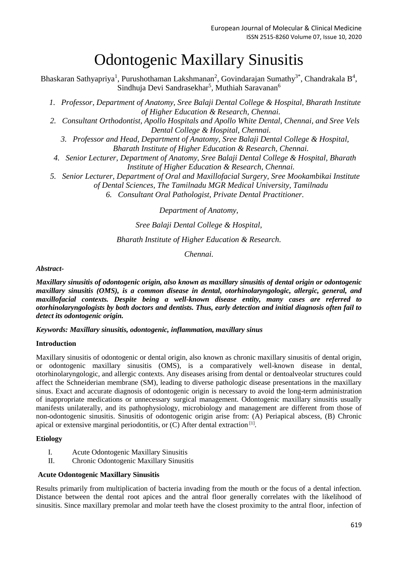# Odontogenic Maxillary Sinusitis

Bhaskaran Sathyapriya<sup>1</sup>, Purushothaman Lakshmanan<sup>2</sup>, Govindarajan Sumathy<sup>3\*</sup>, Chandrakala B<sup>4</sup>, Sindhuja Devi Sandrasekhar<sup>5</sup>, Muthiah Saravanan<sup>6</sup>

*1. Professor, Department of Anatomy, Sree Balaji Dental College & Hospital, Bharath Institute of Higher Education & Research, Chennai.*

- *2. Consultant Orthodontist, Apollo Hospitals and Apollo White Dental, Chennai, and Sree Vels Dental College & Hospital, Chennai.*
	- *3. Professor and Head, Department of Anatomy, Sree Balaji Dental College & Hospital, Bharath Institute of Higher Education & Research, Chennai.*
- *4. Senior Lecturer, Department of Anatomy, Sree Balaji Dental College & Hospital, Bharath Institute of Higher Education & Research, Chennai.*
- *5. Senior Lecturer, Department of Oral and Maxillofacial Surgery, Sree Mookambikai Institute*

*of Dental Sciences, The Tamilnadu MGR Medical University, Tamilnadu*

*6. Consultant Oral Pathologist, Private Dental Practitioner.*

*Department of Anatomy,*

## *Sree Balaji Dental College & Hospital,*

## *Bharath Institute of Higher Education & Research.*

*Chennai.*

## *Abstract-*

*Maxillary sinusitis of odontogenic origin, also known as maxillary sinusitis of dental origin or odontogenic maxillary sinusitis (OMS), is a common disease in dental, otorhinolaryngologic, allergic, general, and maxillofacial contexts. Despite being a well-known disease entity, many cases are referred to otorhinolaryngologists by both doctors and dentists. Thus, early detection and initial diagnosis often fail to detect its odontogenic origin.*

*Keywords: Maxillary sinusitis, odontogenic, inflammation, maxillary sinus*

## **Introduction**

Maxillary sinusitis of odontogenic or dental origin, also known as chronic maxillary sinusitis of dental origin, or odontogenic maxillary sinusitis (OMS), is a comparatively well-known disease in dental, otorhinolaryngologic, and allergic contexts. Any diseases arising from dental or dentoalveolar structures could affect the Schneiderian membrane (SM), leading to diverse pathologic disease presentations in the maxillary sinus. Exact and accurate diagnosis of odontogenic origin is necessary to avoid the long-term administration of inappropriate medications or unnecessary surgical management. Odontogenic maxillary sinusitis usually manifests unilaterally, and its pathophysiology, microbiology and management are different from those of non-odontogenic sinusitis. Sinusitis of odontogenic origin arise from: (A) Periapical abscess, (B) Chronic apical or extensive marginal periodontitis, or (C) After dental extraction<sup>[1]</sup>.

## **Etiology**

- I. Acute Odontogenic Maxillary Sinusitis
- II. Chronic Odontogenic Maxillary Sinusitis

## **Acute Odontogenic Maxillary Sinusitis**

Results primarily from multiplication of bacteria invading from the mouth or the focus of a dental infection. Distance between the dental root apices and the antral floor generally correlates with the likelihood of sinusitis. Since maxillary premolar and molar teeth have the closest proximity to the antral floor, infection of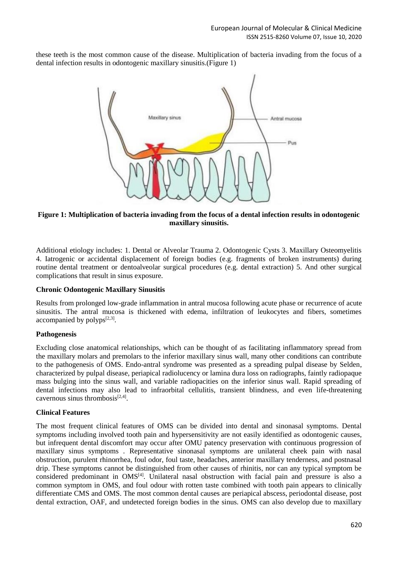these teeth is the most common cause of the disease. Multiplication of bacteria invading from the focus of a dental infection results in odontogenic maxillary sinusitis.(Figure 1)



**Figure 1: Multiplication of bacteria invading from the focus of a dental infection results in odontogenic maxillary sinusitis.**

Additional etiology includes: 1. Dental or Alveolar Trauma 2. Odontogenic Cysts 3. Maxillary Osteomyelitis 4. Iatrogenic or accidental displacement of foreign bodies (e.g. fragments of broken instruments) during routine dental treatment or dentoalveolar surgical procedures (e.g. dental extraction) 5. And other surgical complications that result in sinus exposure.

## **Chronic Odontogenic Maxillary Sinusitis**

Results from prolonged low-grade inflammation in antral mucosa following acute phase or recurrence of acute sinusitis. The antral mucosa is thickened with edema, infiltration of leukocytes and fibers, sometimes accompanied by  $\text{polyps}^{[2,3]}.$ 

## **Pathogenesis**

Excluding close anatomical relationships, which can be thought of as facilitating inflammatory spread from the maxillary molars and premolars to the inferior maxillary sinus wall, many other conditions can contribute to the pathogenesis of OMS. Endo-antral syndrome was presented as a spreading pulpal disease by Selden, characterized by pulpal disease, periapical radiolucency or lamina dura loss on radiographs, faintly radiopaque mass bulging into the sinus wall, and variable radiopacities on the inferior sinus wall. Rapid spreading of dental infections may also lead to infraorbital cellulitis, transient blindness, and even life-threatening cavernous sinus thrombosis $^{[2,4]}$ .

## **Clinical Features**

The most frequent clinical features of OMS can be divided into dental and sinonasal symptoms. Dental symptoms including involved tooth pain and hypersensitivity are not easily identified as odontogenic causes, but infrequent dental discomfort may occur after OMU patency preservation with continuous progression of maxillary sinus symptoms . Representative sinonasal symptoms are unilateral cheek pain with nasal obstruction, purulent rhinorrhea, foul odor, foul taste, headaches, anterior maxillary tenderness, and postnasal drip. These symptoms cannot be distinguished from other causes of rhinitis, nor can any typical symptom be considered predominant in OMS<sup>[4]</sup>. Unilateral nasal obstruction with facial pain and pressure is also a common symptom in OMS, and foul odour with rotten taste combined with tooth pain appears to clinically differentiate CMS and OMS. The most common dental causes are periapical abscess, periodontal disease, post dental extraction, OAF, and undetected foreign bodies in the sinus. OMS can also develop due to maxillary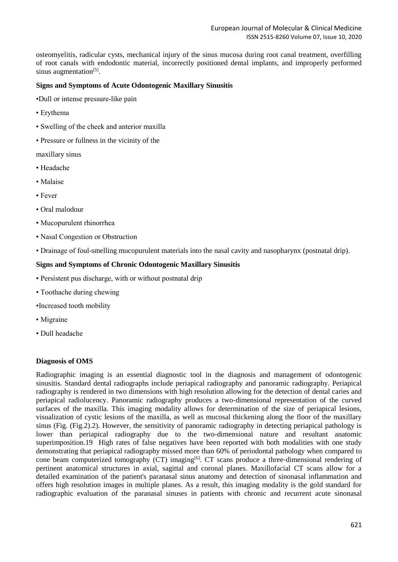osteomyelitis, radicular cysts, mechanical injury of the sinus mucosa during root canal treatment, overfilling of root canals with endodontic material, incorrectly positioned dental implants, and improperly performed sinus augmentation<sup>[5]</sup>.

#### **Signs and Symptoms of Acute Odontogenic Maxillary Sinusitis**

•Dull or intense pressure-like pain

- Erythema
- Swelling of the cheek and anterior maxilla
- Pressure or fullness in the vicinity of the

maxillary sinus

- Headache
- Malaise
- Fever
- Oral malodour
- Mucopurulent rhinorrhea
- Nasal Congestion or Obstruction
- Drainage of foul-smelling mucopurulent materials into the nasal cavity and nasopharynx (postnatal drip).

#### **Signs and Symptoms of Chronic Odontogenic Maxillary Sinusitis**

- Persistent pus discharge, with or without postnatal drip
- Toothache during chewing
- •Increased tooth mobility
- Migraine
- Dull headache

#### **Diagnosis of OMS**

Radiographic imaging is an essential diagnostic tool in the diagnosis and management of odontogenic sinusitis. Standard dental radiographs include periapical radiography and panoramic radiography. Periapical radiography is rendered in two dimensions with high resolution allowing for the detection of dental caries and periapical radiolucency. Panoramic radiography produces a two‐dimensional representation of the curved surfaces of the maxilla. This imaging modality allows for determination of the size of periapical lesions, visualization of cystic lesions of the maxilla, as well as mucosal thickening along the floor of the maxillary sinus (Fig. (Fig.2).2). However, the sensitivity of panoramic radiography in detecting periapical pathology is lower than periapical radiography due to the two-dimensional nature and resultant anatomic superimposition.19 High rates of false negatives have been reported with both modalities with one study demonstrating that periapical radiography missed more than 60% of periodontal pathology when compared to cone beam computerized tomography (CT) imaging<sup>[6]</sup>. CT scans produce a three-dimensional rendering of pertinent anatomical structures in axial, sagittal and coronal planes. Maxillofacial CT scans allow for a detailed examination of the patient's paranasal sinus anatomy and detection of sinonasal inflammation and offers high resolution images in multiple planes. As a result, this imaging modality is the gold standard for radiographic evaluation of the paranasal sinuses in patients with chronic and recurrent acute sinonasal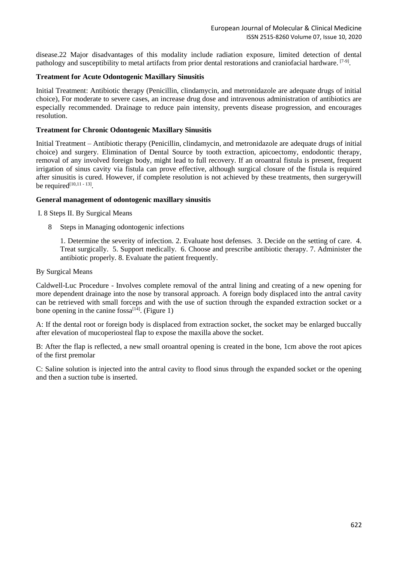disease.22 Major disadvantages of this modality include radiation exposure, limited detection of dental pathology and susceptibility to metal artifacts from prior dental restorations and craniofacial hardware. [7-9]

#### **Treatment for Acute Odontogenic Maxillary Sinusitis**

Initial Treatment: Antibiotic therapy (Penicillin, clindamycin, and metronidazole are adequate drugs of initial choice), For moderate to severe cases, an increase drug dose and intravenous administration of antibiotics are especially recommended. Drainage to reduce pain intensity, prevents disease progression, and encourages resolution.

#### **Treatment for Chronic Odontogenic Maxillary Sinusitis**

Initial Treatment – Antibiotic therapy (Penicillin, clindamycin, and metronidazole are adequate drugs of initial choice) and surgery. Elimination of Dental Source by tooth extraction, apicoectomy, endodontic therapy, removal of any involved foreign body, might lead to full recovery. If an oroantral fistula is present, frequent irrigation of sinus cavity via fistula can prove effective, although surgical closure of the fistula is required after sinusitis is cured. However, if complete resolution is not achieved by these treatments, then surgerywill be required $[10, 11 - 13]$ .

#### **General management of odontogenic maxillary sinusitis**

I. 8 Steps II. By Surgical Means

8 Steps in Managing odontogenic infections

1. Determine the severity of infection. 2. Evaluate host defenses. 3. Decide on the setting of care. 4. Treat surgically. 5. Support medically. 6. Choose and prescribe antibiotic therapy. 7. Administer the antibiotic properly. 8. Evaluate the patient frequently.

By Surgical Means

Caldwell-Luc Procedure - Involves complete removal of the antral lining and creating of a new opening for more dependent drainage into the nose by transoral approach. A foreign body displaced into the antral cavity can be retrieved with small forceps and with the use of suction through the expanded extraction socket or a bone opening in the canine  $f$ ossa<sup>[14]</sup>. (Figure 1)

A: If the dental root or foreign body is displaced from extraction socket, the socket may be enlarged buccally after elevation of mucoperiosteal flap to expose the maxilla above the socket.

B: After the flap is reflected, a new small oroantral opening is created in the bone, 1cm above the root apices of the first premolar

C: Saline solution is injected into the antral cavity to flood sinus through the expanded socket or the opening and then a suction tube is inserted.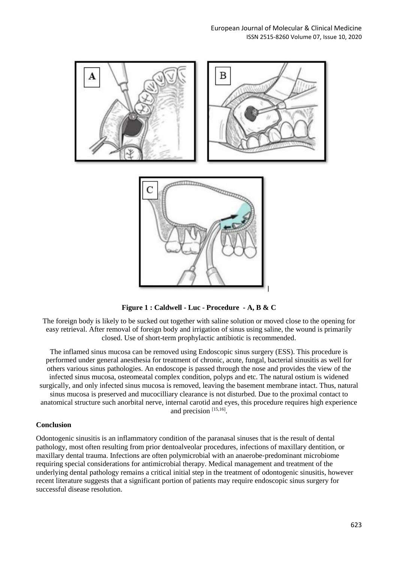

**Figure 1 : Caldwell - Luc - Procedure - A, B & C**

The foreign body is likely to be sucked out together with saline solution or moved close to the opening for easy retrieval. After removal of foreign body and irrigation of sinus using saline, the wound is primarily closed. Use of short-term prophylactic antibiotic is recommended.

The inflamed sinus mucosa can be removed using Endoscopic sinus surgery (ESS). This procedure is performed under general anesthesia for treatment of chronic, acute, fungal, bacterial sinusitis as well for others various sinus pathologies. An endoscope is passed through the nose and provides the view of the infected sinus mucosa, osteomeatal complex condition, polyps and etc. The natural ostium is widened surgically, and only infected sinus mucosa is removed, leaving the basement membrane intact. Thus, natural sinus mucosa is preserved and mucocilliary clearance is not disturbed. Due to the proximal contact to anatomical structure such anorbital nerve, internal carotid and eyes, this procedure requires high experience and precision [15,16].

## **Conclusion**

Odontogenic sinusitis is an inflammatory condition of the paranasal sinuses that is the result of dental pathology, most often resulting from prior dentoalveolar procedures, infections of maxillary dentition, or maxillary dental trauma. Infections are often polymicrobial with an anaerobe‐predominant microbiome requiring special considerations for antimicrobial therapy. Medical management and treatment of the underlying dental pathology remains a critical initial step in the treatment of odontogenic sinusitis, however recent literature suggests that a significant portion of patients may require endoscopic sinus surgery for successful disease resolution.